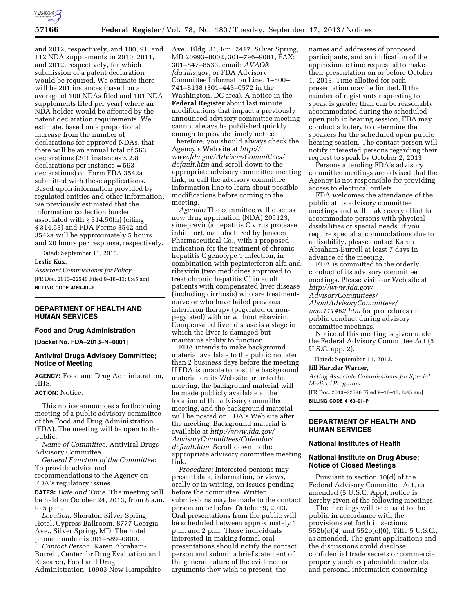

and 2012, respectively, and 100, 91, and 112 NDA supplements in 2010, 2011, and 2012, respectively, for which submission of a patent declaration would be required. We estimate there will be 201 instances (based on an average of 100 NDAs filed and 101 NDA supplements filed per year) where an NDA holder would be affected by the patent declaration requirements. We estimate, based on a proportional increase from the number of declarations for approved NDAs, that there will be an annual total of 563 declarations (201 instances  $\times$  2.8 declarations per instance = 563 declarations) on Form FDA 3542a submitted with these applications. Based upon information provided by regulated entities and other information, we previously estimated that the information collection burden associated with § 314.50(h) (citing § 314.53) and FDA Forms 3542 and 3542a will be approximately 5 hours and 20 hours per response, respectively.

Dated: September 11, 2013.

#### **Leslie Kux,**

*Assistant Commissioner for Policy.*  [FR Doc. 2013–22540 Filed 9–16–13; 8:45 am] **BILLING CODE 4160–01–P** 

# **DEPARTMENT OF HEALTH AND HUMAN SERVICES**

# **Food and Drug Administration**

**[Docket No. FDA–2013–N–0001]** 

### **Antiviral Drugs Advisory Committee; Notice of Meeting**

**AGENCY:** Food and Drug Administration, HHS.

## **ACTION:** Notice.

This notice announces a forthcoming meeting of a public advisory committee of the Food and Drug Administration (FDA). The meeting will be open to the public.

*Name of Committee:* Antiviral Drugs Advisory Committee.

*General Function of the Committee:*  To provide advice and

recommendations to the Agency on FDA's regulatory issues.

**DATES:** *Date and Time:* The meeting will be held on October 24, 2013, from 8 a.m. to 5 p.m.

*Location:* Sheraton Silver Spring Hotel, Cypress Ballroom, 8777 Georgia Ave., Silver Spring, MD. The hotel phone number is 301–589–0800.

*Contact Person:* Karen Abraham-Burrell, Center for Drug Evaluation and Research, Food and Drug Administration, 10903 New Hampshire Ave., Bldg. 31, Rm. 2417, Silver Spring, MD 20993–0002, 301–796–9001, FAX: 301–847–8533, email: *[AVAC@](mailto:AVAC@fda.hhs.gov) [fda.hhs.gov,](mailto:AVAC@fda.hhs.gov)* or FDA Advisory Committee Information Line, 1–800– 741–8138 (301–443–0572 in the Washington, DC area). A notice in the **Federal Register** about last minute modifications that impact a previously announced advisory committee meeting cannot always be published quickly enough to provide timely notice. Therefore, you should always check the Agency's Web site at *[http://](http://www.fda.gov/AdvisoryCommittees/default.htm) [www.fda.gov/AdvisoryCommittees/](http://www.fda.gov/AdvisoryCommittees/default.htm)* [default.htm](http://www.fda.gov/AdvisoryCommittees/default.htm) and scroll down to the appropriate advisory committee meeting link, or call the advisory committee information line to learn about possible modifications before coming to the meeting.

*Agenda:* The committee will discuss new drug application (NDA) 205123, simeprevir (a hepatitis C virus protease inhibitor), manufactured by Janssen Pharmaceutical Co., with a proposed indication for the treatment of chronic hepatitis C genotype 1 infection, in combination with peginterferon alfa and ribavirin (two medicines approved to treat chronic hepatitis C) in adult patients with compensated liver disease (including cirrhosis) who are treatmentnaïve or who have failed previous interferon therapy (pegylated or nonpegylated) with or without ribavirin. Compensated liver disease is a stage in which the liver is damaged but maintains ability to function.

FDA intends to make background material available to the public no later than 2 business days before the meeting. If FDA is unable to post the background material on its Web site prior to the meeting, the background material will be made publicly available at the location of the advisory committee meeting, and the background material will be posted on FDA's Web site after the meeting. Background material is available at *[http://www.fda.gov/](http://www.fda.gov/AdvisoryCommittees/Calendar/default.htm) [AdvisoryCommittees/Calendar/](http://www.fda.gov/AdvisoryCommittees/Calendar/default.htm) [default.htm](http://www.fda.gov/AdvisoryCommittees/Calendar/default.htm)*. Scroll down to the appropriate advisory committee meeting link.

*Procedure:* Interested persons may present data, information, or views, orally or in writing, on issues pending before the committee. Written submissions may be made to the contact person on or before October 9, 2013. Oral presentations from the public will be scheduled between approximately 1 p.m. and 2 p.m. Those individuals interested in making formal oral presentations should notify the contact person and submit a brief statement of the general nature of the evidence or arguments they wish to present, the

names and addresses of proposed participants, and an indication of the approximate time requested to make their presentation on or before October 1, 2013. Time allotted for each presentation may be limited. If the number of registrants requesting to speak is greater than can be reasonably accommodated during the scheduled open public hearing session, FDA may conduct a lottery to determine the speakers for the scheduled open public hearing session. The contact person will notify interested persons regarding their request to speak by October 2, 2013.

Persons attending FDA's advisory committee meetings are advised that the Agency is not responsible for providing access to electrical outlets.

FDA welcomes the attendance of the public at its advisory committee meetings and will make every effort to accommodate persons with physical disabilities or special needs. If you require special accommodations due to a disability, please contact Karen Abraham-Burrell at least 7 days in advance of the meeting.

FDA is committed to the orderly conduct of its advisory committee meetings. Please visit our Web site at *[http://www.fda.gov/](http://www.fda.gov/AdvisoryCommittees/AboutAdvisoryCommittees/ucm111462.htm) [AdvisoryCommittees/](http://www.fda.gov/AdvisoryCommittees/AboutAdvisoryCommittees/ucm111462.htm) [AboutAdvisoryCommittees/](http://www.fda.gov/AdvisoryCommittees/AboutAdvisoryCommittees/ucm111462.htm)*

*[ucm111462.htm](http://www.fda.gov/AdvisoryCommittees/AboutAdvisoryCommittees/ucm111462.htm)* for procedures on public conduct during advisory committee meetings.

Notice of this meeting is given under the Federal Advisory Committee Act (5 U.S.C. app. 2).

Dated: September 11, 2013.

### **Jill Hartzler Warner,**

*Acting Associate Commissioner for Special Medical Programs.* 

[FR Doc. 2013–22546 Filed 9–16–13; 8:45 am] **BILLING CODE 4160–01–P** 

# **DEPARTMENT OF HEALTH AND HUMAN SERVICES**

# **National Institutes of Health**

### **National Institute on Drug Abuse; Notice of Closed Meetings**

Pursuant to section 10(d) of the Federal Advisory Committee Act, as amended (5 U.S.C. App), notice is hereby given of the following meetings.

The meetings will be closed to the public in accordance with the provisions set forth in sections 552b(c)(4) and 552b(c)(6), Title 5 U.S.C., as amended. The grant applications and the discussions could disclose confidential trade secrets or commercial property such as patentable materials, and personal information concerning